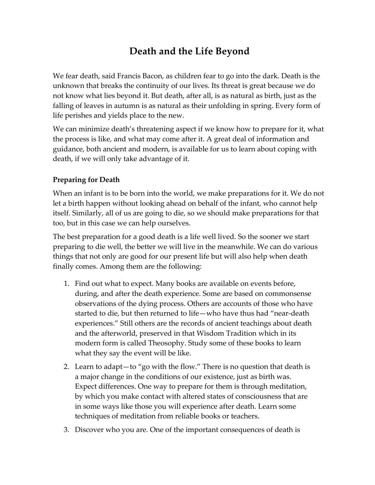# **Death and the Life Beyond**

We fear death, said Francis Bacon, as children fear to go into the dark. Death is the unknown that breaks the continuity of our lives. Its threat is great because we do not know what lies beyond it. But death, after all, is as natural as birth, just as the falling of leaves in autumn is as natural as their unfolding in spring. Every form of life perishes and yields place to the new.

We can minimize death's threatening aspect if we know how to prepare for it, what the process is like, and what may come after it. A great deal of information and guidance, both ancient and modern, is available for us to learn about coping with death, if we will only take advantage of it.

### **Preparing for Death**

When an infant is to be born into the world, we make preparations for it. We do not let a birth happen without looking ahead on behalf of the infant, who cannot help itself. Similarly, all of us are going to die, so we should make preparations for that too, but in this case we can help ourselves.

The best preparation for a good death is a life well lived. So the sooner we start preparing to die well, the better we will live in the meanwhile. We can do various things that not only are good for our present life but will also help when death finally comes. Among them are the following:

- 1. Find out what to expect. Many books are available on events before, during, and after the death experience. Some are based on commonsense observations of the dying process. Others are accounts of those who have started to die, but then returned to life—who have thus had "near-death experiences." Still others are the records of ancient teachings about death and the afterworld, preserved in that Wisdom Tradition which in its modern form is called Theosophy. Study some of these books to learn what they say the event will be like.
- 2. Learn to adapt—to "go with the flow." There is no question that death is a major change in the conditions of our existence, just as birth was. Expect differences. One way to prepare for them is through meditation, by which you make contact with altered states of consciousness that are in some ways like those you will experience after death. Learn some techniques of meditation from reliable books or teachers.
- 3. Discover who you are. One of the important consequences of death is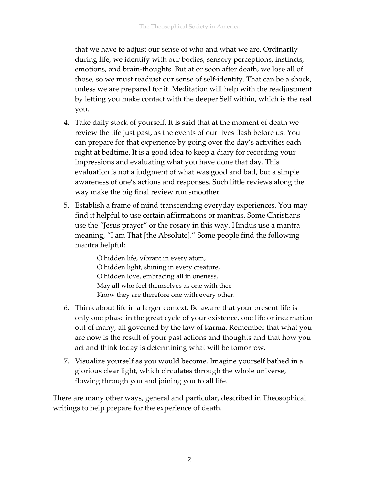that we have to adjust our sense of who and what we are. Ordinarily during life, we identify with our bodies, sensory perceptions, instincts, emotions, and brain-thoughts. But at or soon after death, we lose all of those, so we must readjust our sense of self-identity. That can be a shock, unless we are prepared for it. Meditation will help with the readjustment by letting you make contact with the deeper Self within, which is the real you.

- 4. Take daily stock of yourself. It is said that at the moment of death we review the life just past, as the events of our lives flash before us. You can prepare for that experience by going over the day's activities each night at bedtime. It is a good idea to keep a diary for recording your impressions and evaluating what you have done that day. This evaluation is not a judgment of what was good and bad, but a simple awareness of one's actions and responses. Such little reviews along the way make the big final review run smoother.
- 5. Establish a frame of mind transcending everyday experiences. You may find it helpful to use certain affirmations or mantras. Some Christians use the "Jesus prayer" or the rosary in this way. Hindus use a mantra meaning, "I am That [the Absolute]." Some people find the following mantra helpful:

O hidden life, vibrant in every atom, O hidden light, shining in every creature, O hidden love, embracing all in oneness, May all who feel themselves as one with thee Know they are therefore one with every other.

- 6. Think about life in a larger context. Be aware that your present life is only one phase in the great cycle of your existence, one life or incarnation out of many, all governed by the law of karma. Remember that what you are now is the result of your past actions and thoughts and that how you act and think today is determining what will be tomorrow.
- 7. Visualize yourself as you would become. Imagine yourself bathed in a glorious clear light, which circulates through the whole universe, flowing through you and joining you to all life.

There are many other ways, general and particular, described in Theosophical writings to help prepare for the experience of death.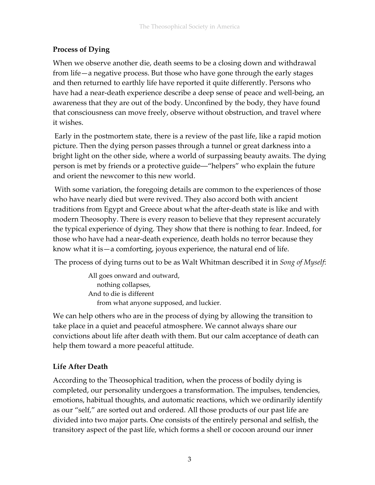# **Process of Dying**

When we observe another die, death seems to be a closing down and withdrawal from life—a negative process. But those who have gone through the early stages and then returned to earthly life have reported it quite differently. Persons who have had a near-death experience describe a deep sense of peace and well-being, an awareness that they are out of the body. Unconfined by the body, they have found that consciousness can move freely, observe without obstruction, and travel where it wishes.

Early in the postmortem state, there is a review of the past life, like a rapid motion picture. Then the dying person passes through a tunnel or great darkness into a bright light on the other side, where a world of surpassing beauty awaits. The dying person is met by friends or a protective guide―"helpers" who explain the future and orient the newcomer to this new world.

With some variation, the foregoing details are common to the experiences of those who have nearly died but were revived. They also accord both with ancient traditions from Egypt and Greece about what the after-death state is like and with modern Theosophy. There is every reason to believe that they represent accurately the typical experience of dying. They show that there is nothing to fear. Indeed, for those who have had a near-death experience, death holds no terror because they know what it is—a comforting, joyous experience, the natural end of life.

The process of dying turns out to be as Walt Whitman described it in *Song of Myself*:

All goes onward and outward, nothing collapses, And to die is different from what anyone supposed, and luckier.

We can help others who are in the process of dying by allowing the transition to take place in a quiet and peaceful atmosphere. We cannot always share our convictions about life after death with them. But our calm acceptance of death can help them toward a more peaceful attitude.

## **Life After Death**

According to the Theosophical tradition, when the process of bodily dying is completed, our personality undergoes a transformation. The impulses, tendencies, emotions, habitual thoughts, and automatic reactions, which we ordinarily identify as our "self," are sorted out and ordered. All those products of our past life are divided into two major parts. One consists of the entirely personal and selfish, the transitory aspect of the past life, which forms a shell or cocoon around our inner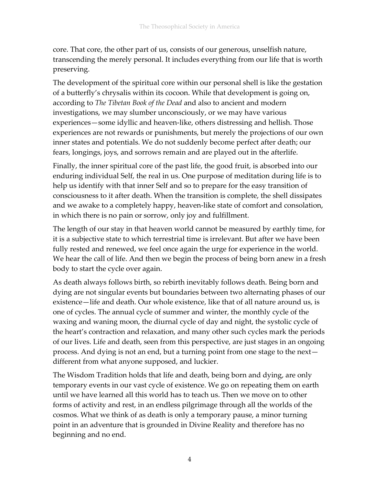core. That core, the other part of us, consists of our generous, unselfish nature, transcending the merely personal. It includes everything from our life that is worth preserving.

The development of the spiritual core within our personal shell is like the gestation of a butterfly's chrysalis within its cocoon. While that development is going on, according to *The Tibetan Book of the Dead* and also to ancient and modern investigations, we may slumber unconsciously, or we may have various experiences—some idyllic and heaven-like, others distressing and hellish. Those experiences are not rewards or punishments, but merely the projections of our own inner states and potentials. We do not suddenly become perfect after death; our fears, longings, joys, and sorrows remain and are played out in the afterlife.

Finally, the inner spiritual core of the past life, the good fruit, is absorbed into our enduring individual Self, the real in us. One purpose of meditation during life is to help us identify with that inner Self and so to prepare for the easy transition of consciousness to it after death. When the transition is complete, the shell dissipates and we awake to a completely happy, heaven-like state of comfort and consolation, in which there is no pain or sorrow, only joy and fulfillment.

The length of our stay in that heaven world cannot be measured by earthly time, for it is a subjective state to which terrestrial time is irrelevant. But after we have been fully rested and renewed, we feel once again the urge for experience in the world. We hear the call of life. And then we begin the process of being born anew in a fresh body to start the cycle over again.

As death always follows birth, so rebirth inevitably follows death. Being born and dying are not singular events but boundaries between two alternating phases of our existence—life and death. Our whole existence, like that of all nature around us, is one of cycles. The annual cycle of summer and winter, the monthly cycle of the waxing and waning moon, the diurnal cycle of day and night, the systolic cycle of the heart's contraction and relaxation, and many other such cycles mark the periods of our lives. Life and death, seen from this perspective, are just stages in an ongoing process. And dying is not an end, but a turning point from one stage to the next different from what anyone supposed, and luckier.

The Wisdom Tradition holds that life and death, being born and dying, are only temporary events in our vast cycle of existence. We go on repeating them on earth until we have learned all this world has to teach us. Then we move on to other forms of activity and rest, in an endless pilgrimage through all the worlds of the cosmos. What we think of as death is only a temporary pause, a minor turning point in an adventure that is grounded in Divine Reality and therefore has no beginning and no end.